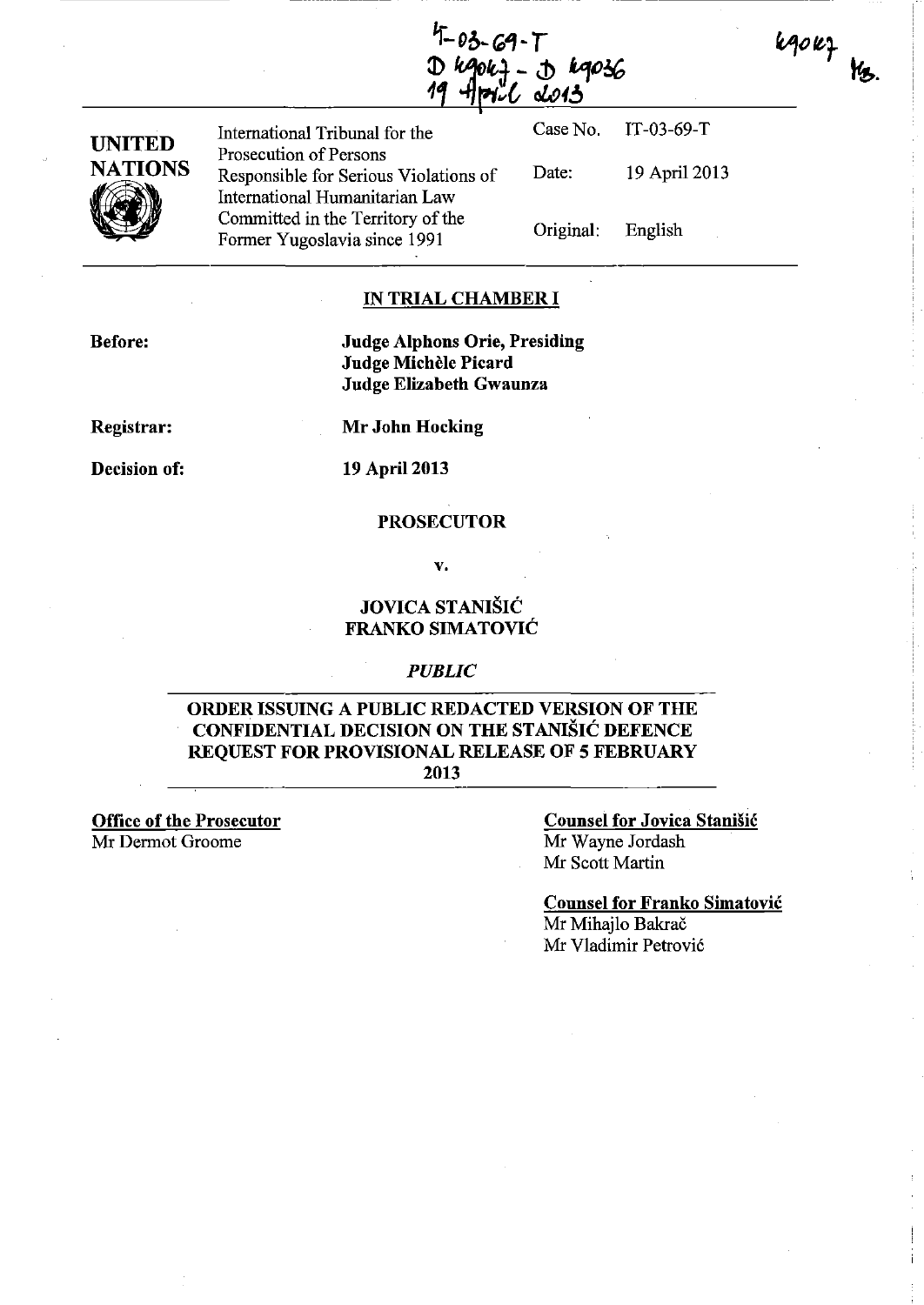$4 - 03 - 69 - T$ 19047 - J 19036 **JO13** 



International Tribunal for the Case No. IT-03-69-T **UNITED** Prosecution of Persons Responsible for Serious Violations of Date: 19 April 2013 International Humanitarian Law<br>Committed in the Territory of the Committed in the Territory of the Original: Former Yugoslavia since 1991

English

kgokf

**Y**<sub>3</sub>.

## **IN TRIAL CHAMBER I**

**Before:** 

**Judge Alphons Orie, Presiding Judge MicheIe Picard Judge Elizabeth Gwaunza** 

**Registrar:** 

**Mr John Hocking** 

**Decision of:** 

**19** April 2013

### **PROSECUTOR**

v.

## **JOVICA STANISIC FRANKO SIMATOVIC**

#### *PUBLIC*

## **ORDER ISSUING A PUBLIC REDACTED VERSION OF THE CONFIDENTIAL DECISION ON THE STANISIC DEFENCE REQUEST FOR PROVISIONAL RELEASE OF 5 FEBRUARY 2013**

**Office of the Prosecutor**  Mr Dermot Groome

**Counsel for Jovica Stanisic**  Mr Wayne Jordash Mr Scott Martin

**Counsel for Franko Simatovic**  Mr Mihajlo Bakrač Mr Vladimir Petrovi6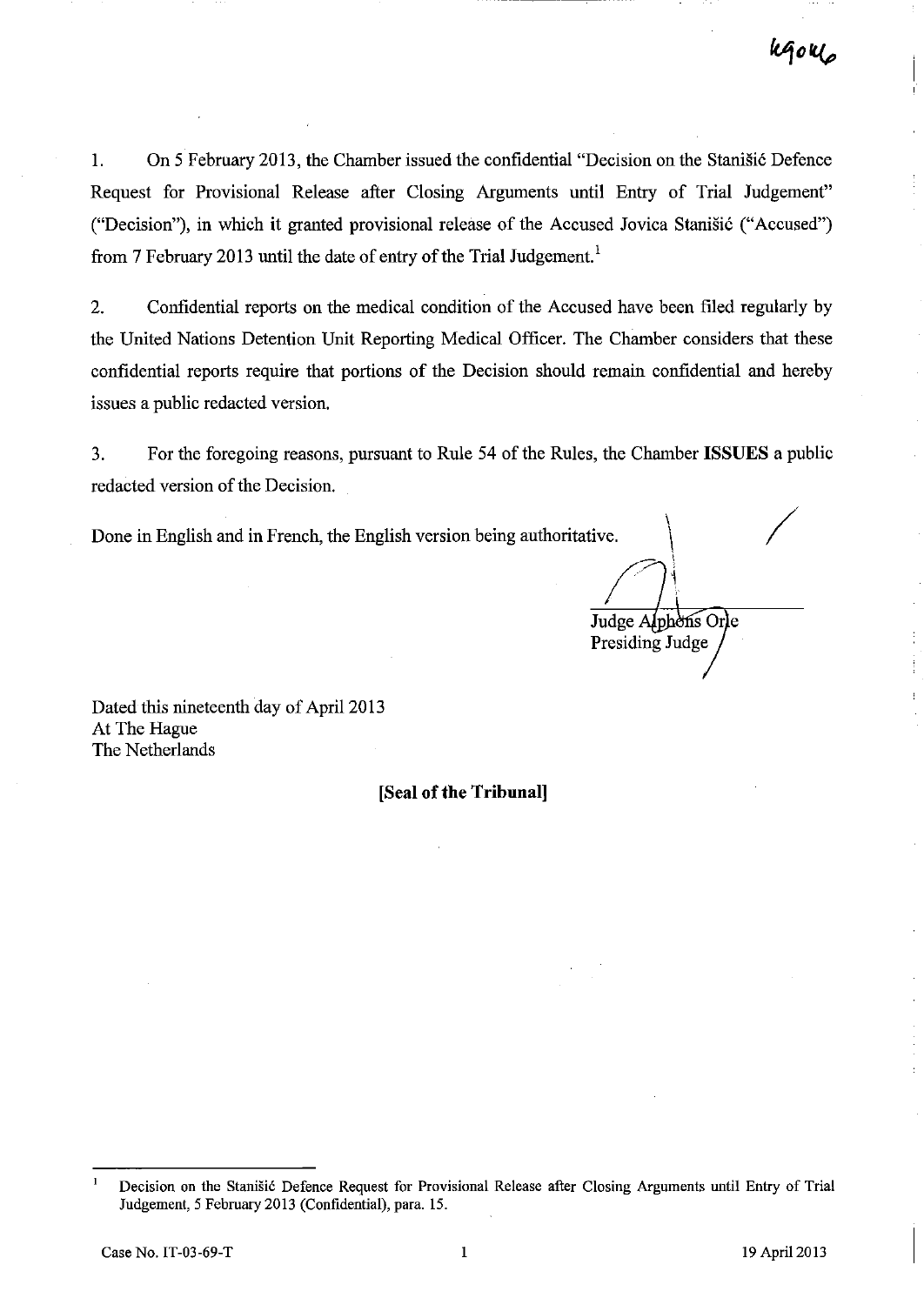1. On 5 February 2013, the Chamber issued the confidential "Decision on the Stanisic Defence Request for Provisional Release after Closing Arguments until Entry of Trial Judgement" ("Decision"), in which it granted provisional release of the Accused Jovica Stanišić ("Accused") from 7 February 2013 until the date of entry of the Trial Judgement.<sup>1</sup>

2. Confidential reports on the medical condition of the Accused have been filed regularly by the United Nations Detention Unit Reporting Medical Officer. The Chamber considers that these confidential reports require that portions of the Decision should remain confidential and hereby issues a public redacted version.

3. For the foregoing reasons, pursuant to Rule 54 of the Rules, the Chamber **ISSUES** a public redacted version of the Decision.

Done in English and in French, the English version being authoritative.

/ Judge Alphons Orle Presiding Judge

Dated this nineteenth day of April 2013 At The Hague The Netherlands

**[Seal of the Tribunal]** 

 $\mathbf{1}$ Decision on the Stanišić Defence Request for Provisional Release after Closing Arguments until Entry of Trial Judgement, 5 February 2013 (Confidential), para. 15.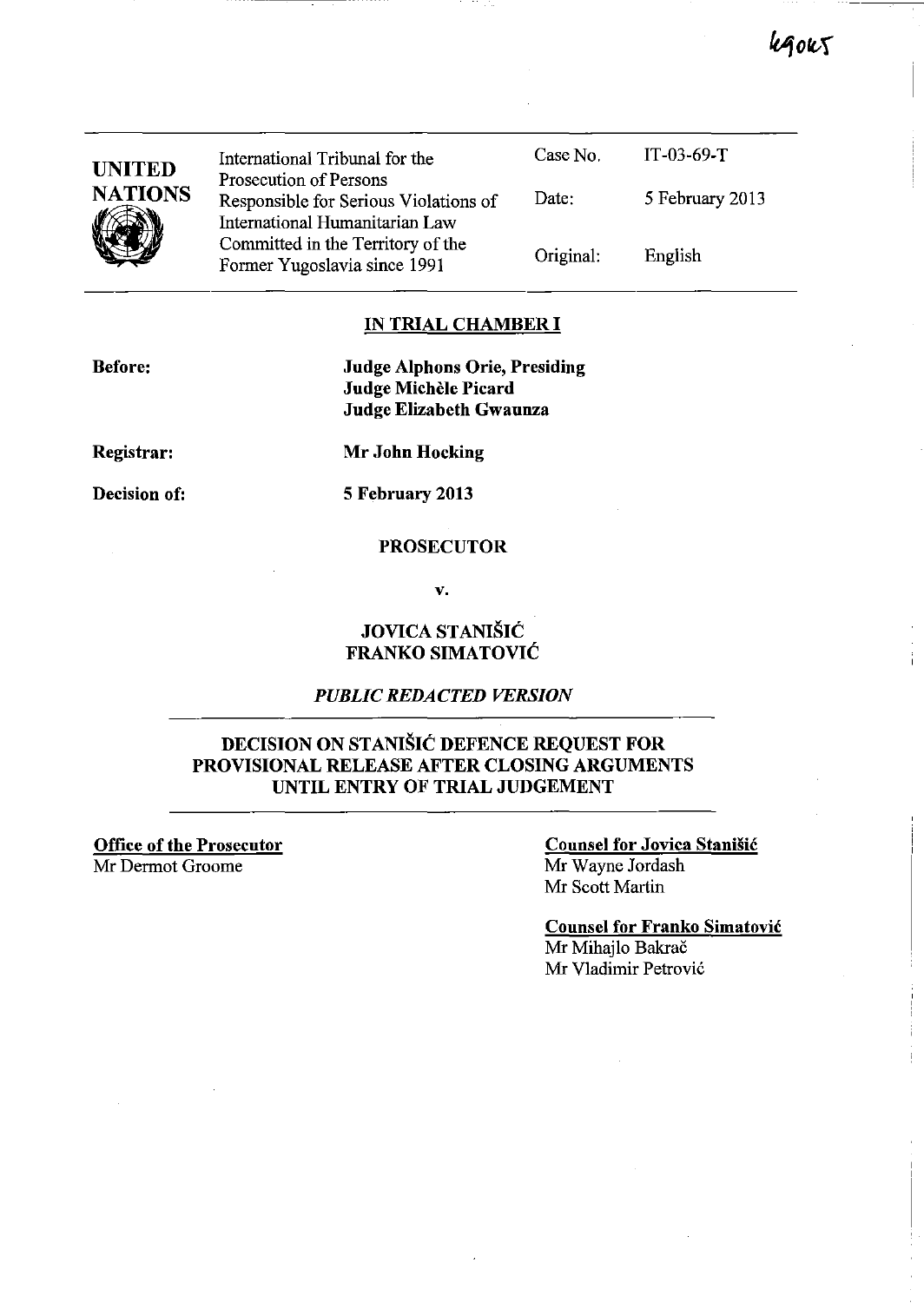kgoks

| <b>UNITED</b><br><b>NATIONS</b> | International Tribunal for the<br>Prosecution of Persons                | Case No.  | $IT-03-69-T$    |
|---------------------------------|-------------------------------------------------------------------------|-----------|-----------------|
|                                 | Responsible for Serious Violations of<br>International Humanitarian Law | Date:     | 5 February 2013 |
|                                 | Committed in the Territory of the<br>Former Yugoslavia since 1991       | Original: | English         |
|                                 |                                                                         |           |                 |

### **IN TRIAL CHAMBER I**

**Before:** 

**Judge Alphons Orie, Presiding Judge Michele Picard Judge Elizabeth Gwaunza** 

**Registrar:** 

**Decision of:** 

**Mr John Hocking** 

**5 February 2013** 

### **PROSECUTOR**

**v.** 

## **JOVICA STANISIC FRANKO SIMATOVIC**

## *PUBLIC REDACTED VERSION*

## **DECISION ON STANISIC DEFENCE REQUEST FOR PROVISIONAL RELEASE AFTER CLOSING ARGUMENTS UNTIL ENTRY OF TRIAL JUDGEMENT**

**Office of the Prosecutor**  Mr Derrnot Groome

## **Counsel for Jovica Stanisic**  Mr Wayne Jordash Mr Scott Martin

**Counsel for Franko Simatovic**  Mr Mihajlo Bakrač Mr Vladimir Petrovic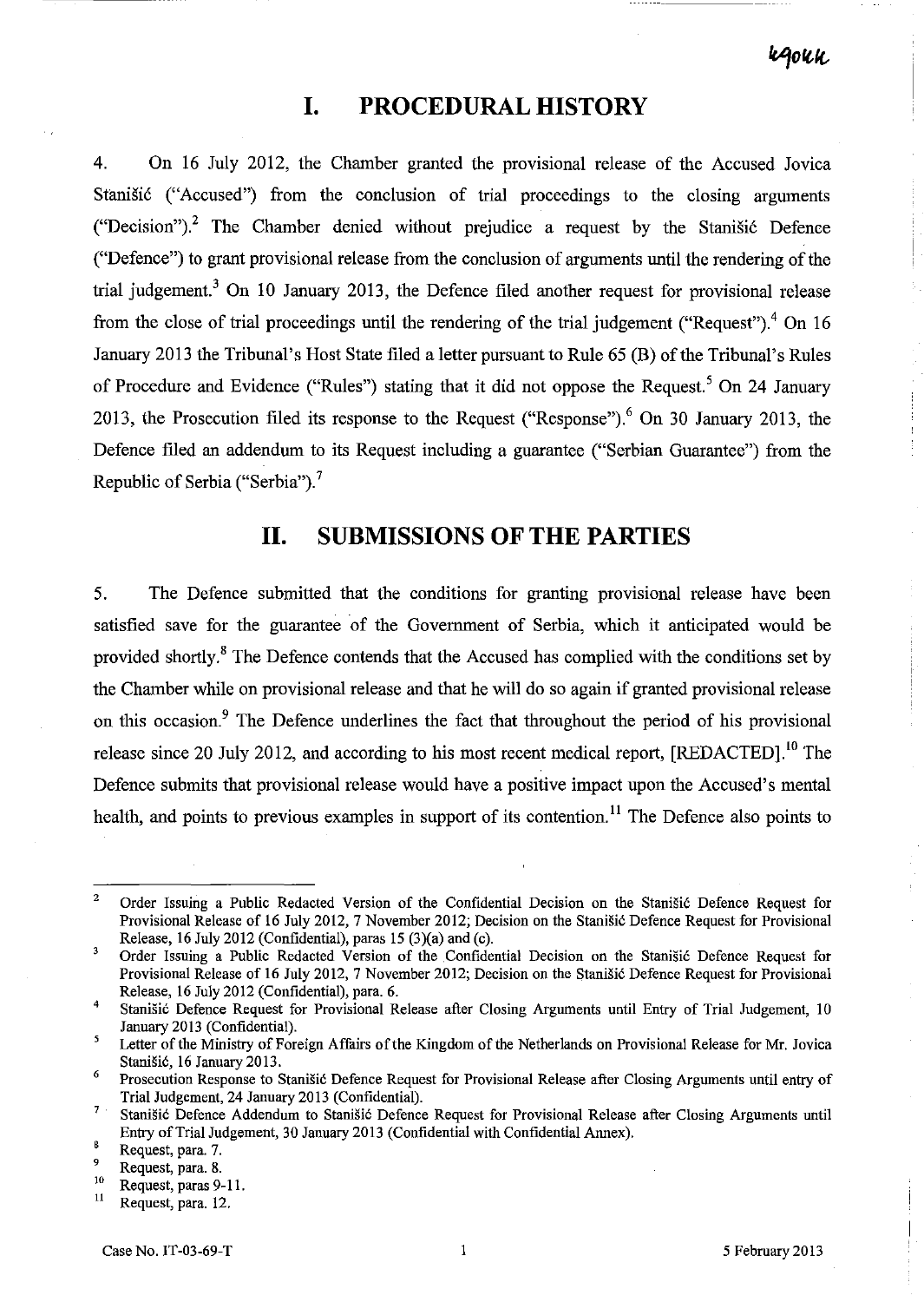# **I. PROCEDURAL HISTORY**

4. On 16 July 2012, the Chamber granted the provisional release of the Accused Jovica Stanišić ("Accused") from the conclusion of trial proceedings to the closing arguments ("Decision").<sup>2</sup> The Chamber denied without prejudice a request by the Stanišić Defence ("Defence") to grant provisional release from the conclusion of arguments until the rendering of the trial judgement.3 On 10 January 2013, the Defence filed another request for provisional release from the close of trial proceedings until the rendering of the trial judgement ("Request").<sup>4</sup> On 16 January 2013 the Tribunal's Host State filed a letter pursuant to Rule 65 (B) of the Tribunal's Rules of Procedure and Evidence ("Rules") stating that it did not oppose the Request.<sup>5</sup> On 24 January 2013, the Prosecution filed its response to the Request ("Response"),  $6$  On 30 January 2013, the Defence filed an addendum to its Request including a guarantee ("Serbian Guarantee") from the Republic of Serbia ("Serbia").<sup>7</sup>

# **11. SUBMISSIONS OF THE PARTIES**

5. The Defence submitted that the conditions for granting provisional release have been satisfied save for the guarantee of the Government of Serbia, which it anticipated would be provided shortly.<sup>8</sup> The Defence contends that the Accused has complied with the conditions set by the Chamber while on provisional release and that he will do so again if granted provisional release on this occasion.<sup>9</sup> The Defence underlines the fact that throughout the period of his provisional release since 20 July 2012, and according to his most recent medical report,  $[REDACTED]$ <sup>10</sup> The Defence submits that provisional release would have a positive impact upon the Accused's mental health, and points to previous examples in support of its contention.<sup>11</sup> The Defence also points to

<sup>&</sup>lt;sup>2</sup> Order Issuing a Public Redacted Version of the Confidential Decision on the Stanišić Defence Request for Provisional Release of 16 July 2012, 7 November 2012; Decision on the Stanišić Defence Request for Provisional Release, 16 July 2012 (Confidential), paras 15 (3)(a) and (c).

 $\overline{\mathbf{3}}$ Order Issuing a Public Redacted Version of the Confidential Decision on the StaniSic Defence Request for Provisional Release of 16 July 2012, 7 November 2012; Decision on the Stanišić Defence Request for Provisional Release, 16 July 2012 (Confidential), para. 6.

<sup>&</sup>lt;sup>4</sup> Stanišić Defence Request for Provisional Release after Closing Arguments until Entry of Trial Judgement, 10 January 2013 (Confidential).

 $\overline{\mathbf{5}}$ Letter of the Ministry of Foreign Affairs of the Kingdom of the Netherlands on Provisional Release for Mr. Jovica Stanisic, 16 January 2013.

<sup>&</sup>lt;sup>6</sup> Prosecution Response to Stanišić Defence Request for Provisional Release after Closing Arguments until entry of Trial Judgement, 24 January 2013 (Confidential).

<sup>&</sup>lt;sup>7</sup> Stanišić Defence Addendum to Stanišić Defence Request for Provisional Release after Closing Arguments until Entry of Trial Judgement, 30 January 2013 (Confidential with Confidential Annex).

 $\mathbf{g}$ Request, para. 7.

 $^{9}$  Request, para. 8.

 $^{10}$  Request, paras 9-11.

Request, para. 12.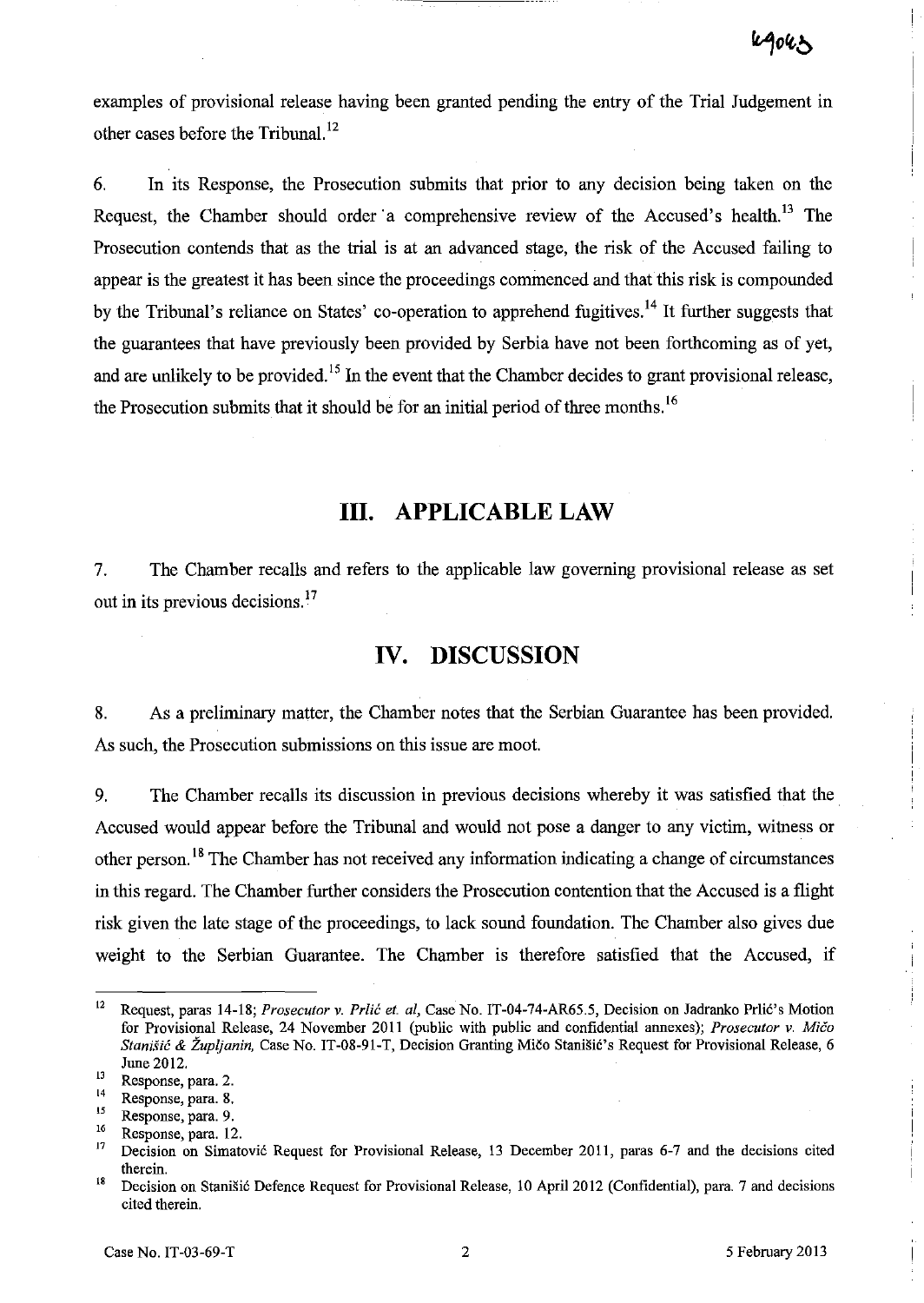examples of provisional release having been granted pending the entry of the Trial Judgement in other cases before the Tribunal. <sup>12</sup>

6. In its Response, the Prosecution submits that prior to any decision being taken on the Request, the Chamber should order a comprehensive review of the Accused's health.<sup>13</sup> The Prosecution contends that as the trial is at an advanced stage, the risk of the Accused failing to appear is the greatest it has been since the proceedings commenced and that this risk is compounded by the Tribunal's reliance on States' co-operation to apprehend fugitives.<sup>14</sup> It further suggests that the guarantees that have previously been provided by Serbia have not been forthcoming as of yet, and are unlikely to be provided.<sup>15</sup> In the event that the Chamber decides to grant provisional release, the Prosecution submits that it should be for an initial period of three months.<sup>16</sup>

# **Ill. APPLICABLE LAW**

7. The Chamber recalls and refers to the applicable law governing provisional release as set out in its previous decisions.<sup>17</sup>

# **IV. DISCUSSION**

8. As a preliminary matter, the Chamber notes that the Serbian Guarantee has been provided. As such, the Prosecution submissions on this issue are moot.

9. The Chamber recalls its discussion in previous decisions whereby it was satisfied that the . Accused would appear before the Tribunal and would not pose a danger to any victim, witness or other person.<sup>18</sup> The Chamber has not received any information indicating a change of circumstances in this regard. The Chamber further considers the Prosecution contention that the Accused is a flight risk given the late stage of the proceedings, to lack sound foundation. The Chamber also gives due weight to the Serbian Guarantee. The Chamber is therefore satisfied that the Accused, if

<sup>&</sup>lt;sup>12</sup> Request, paras 14-18; *Prosecutor v. Prlić et. al*, Case No. IT-04-74-AR65.5, Decision on Jadranko Prlić's Motion for Provisional Release, 24 November 2011 (public with public and confidential annexes); *Prosecutor* v. *Mica Stanišić & Župljanin*, Case No. IT-08-91-T, Decision Granting Mičo Stanišić's Request for Provisional Release, 6 June 2012.

**<sup>13</sup> Response, para. 2.** 

**<sup>14</sup>Response, para. g.** 

 $\frac{15}{16}$  Response, para. 9.

 $16$  Response, para. 12.

<sup>17</sup> Decision on Simatovi6 Request for Provisional Release, 13 December 2011, paras 6-7 and the decisions cited **therein.** 

<sup>&</sup>lt;sup>18</sup> Decision on Stanišić Defence Request for Provisional Release, 10 April 2012 (Confidential), para. 7 and decisions cited therein.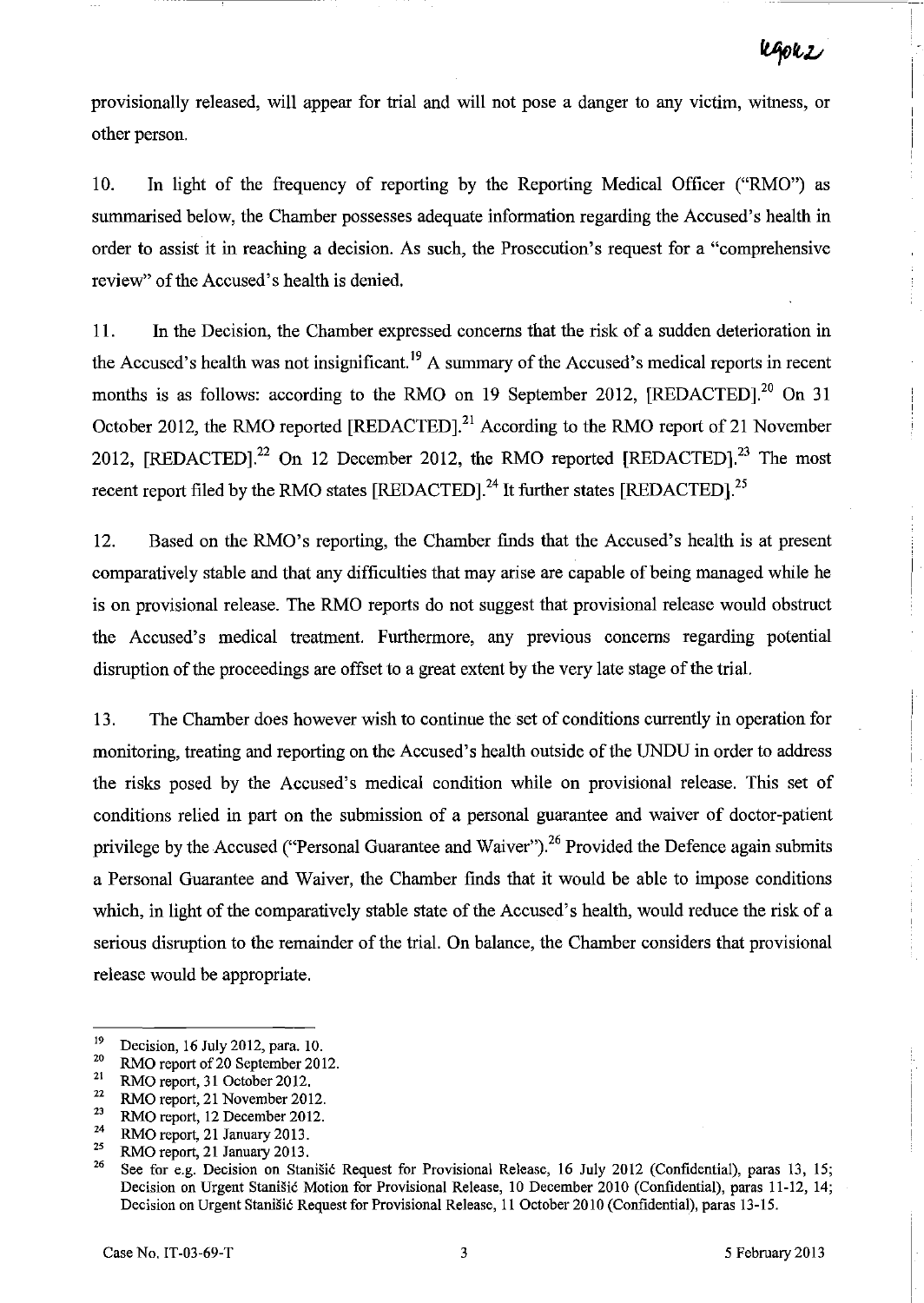provisionally released, will appear for trial and will not pose a danger to any victim, witness, or other person.

10. In light of the frequency of reporting by the Reporting Medical Officer ("RMO") as summarised below, the Chamber possesses adequate information regarding the Accused's health in order to assist it in reaching a decision. As such, the Prosecution's request for a "comprehensive review" of the Accused's health is denied.

11. In the Decision, the Chamber expressed concerns that the risk of a sudden deterioration in the Accused's health was not insignificant.<sup>19</sup> A summary of the Accused's medical reports in recent months is as follows: according to the RMO on 19 September 2012, [REDACTED].<sup>20</sup> On 31 October 2012, the RMO reported  $[REDACTED]$ <sup>21</sup> According to the RMO report of 21 November 2012,  $[REDACTED]$ <sup>22</sup> On 12 December 2012, the RMO reported  $[REDACTED]$ <sup>23</sup> The most recent report filed by the RMO states  $[REDACTED]$ .<sup>24</sup> It further states  $[REDACTED]$ .<sup>25</sup>

12. Based on the RMO's reporting, the Chamber fmds that the Accused's health is at present comparatively stable and that any difficulties that may arise are capable of being managed while he is on provisional release. The RMO reports do not suggest that provisional release would obstruct the Accused's medical treatment. Furthermore, any previous concerns regarding potential disruption of the proceedings are offset to a great extent by the very late stage of the trial.

13. The Chamber does however wish to continue the set of conditions currently in operation for monitoring, treating and reporting on the Accused's health outside of the UNDU in order to address the risks posed by the Accused's medical condition while on provisional release. This set of conditions relied in part on the submission of a personal guarantee and waiver of doctor-patient privilege by the Accused ("Personal Guarantee and Waiver").<sup>26</sup> Provided the Defence again submits a Personal Guarantee and Waiver, the Chamber finds that it would be able to impose conditions which, in light of the comparatively stable state of the Accused's health, would reduce the risk of a serious disruption to the remainder of the trial. On balance, the Chamber considers that provisional release would be appropriate.

<sup>&</sup>lt;sup>19</sup> Decision, 16 July 2012, para. 10.<br><sup>20</sup> BMO report of 20 September 201

 $\frac{20}{21}$  RMO report of 20 September 2012.

 $^{21}$  RMO report, 31 October 2012.

 $\frac{22}{23}$  RMO report, 21 November 2012.

 $^{23}$  RMO report, 12 December 2012.

<sup>&</sup>lt;sup>24</sup> RMO report, 21 January 2013.

 $^{25}$  RMO report, 21 January 2013.

See for e.g. Decision on Stanišić Request for Provisional Release, 16 July 2012 (Confidential), paras 13, 15; Decision on Urgent Stanišić Motion for Provisional Release, 10 December 2010 (Confidential), paras 11-12, 14; Decision on Urgent Stanišić Request for Provisional Release, 11 October 2010 (Confidential), paras 13-15.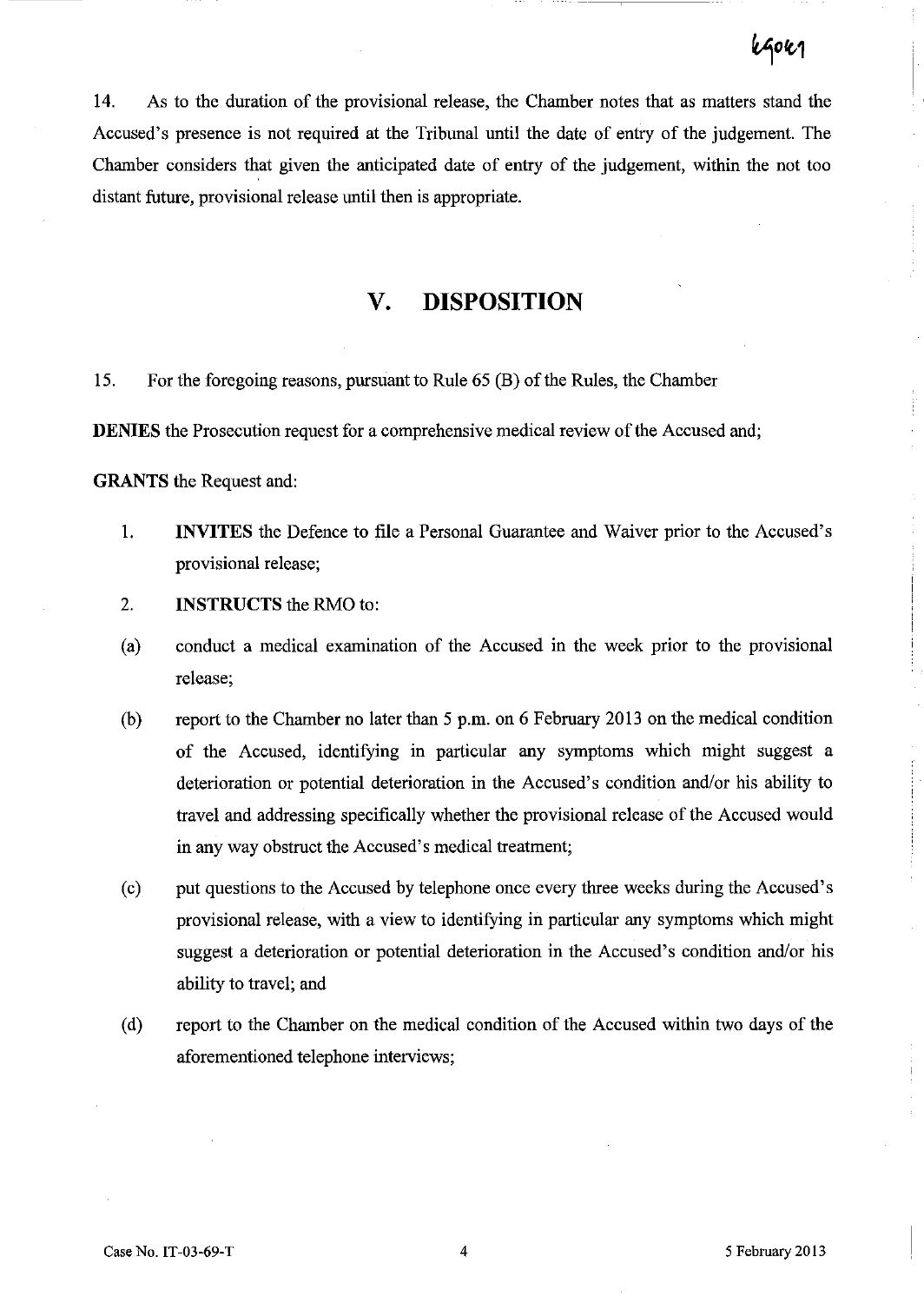# **kGok1**

14. As to the duration of the provisional release, the Chamber notes that as matters stand the Accused's presence is not required at the Tribunal until the date of entry of the judgement. The Chamber considers that given the anticipated date of entry of the judgement, within the not too distant future, provisional release until then is appropriate.

# **v. DISPOSITION**

15. For the foregoing reasons, pursuant to Rule 65 (B) of the Rules, the Chamber

**DENIES** the Prosecution request for a comprehensive medical review of the Accused and;

**GRANTS** the Request and:

- l. **INVITES** the Defence to file a Personal Guarantee and Waiver prior to the Accused's provisional release;
- 2. **INSTRUCTS** the RMO to:
- (a) conduct a medical examination of the Accused in the week prior to the provisional release;
- (b) report to the Chamber no later than 5 p.m. on 6 February 2013 on the medical condition of the Accused, identifying in particular any symptoms which might suggest a deterioration or potential deterioration in the Accused's condition and/or his ability to travel and addressing specifically whether the provisional release of the Accused would in any way obstruct the Accused's medical treatment;
- (c) put questions to the Accused by telephone once every three weeks during the Accused's provisional release, with a view to identifying in particular any symptoms which might suggest a deterioration or potential deterioration in the Accused's condition and/or his ability to travel; and
- (d) report to the Chamber on the medical condition of the Accused within two days of the aforementioned telephone interviews;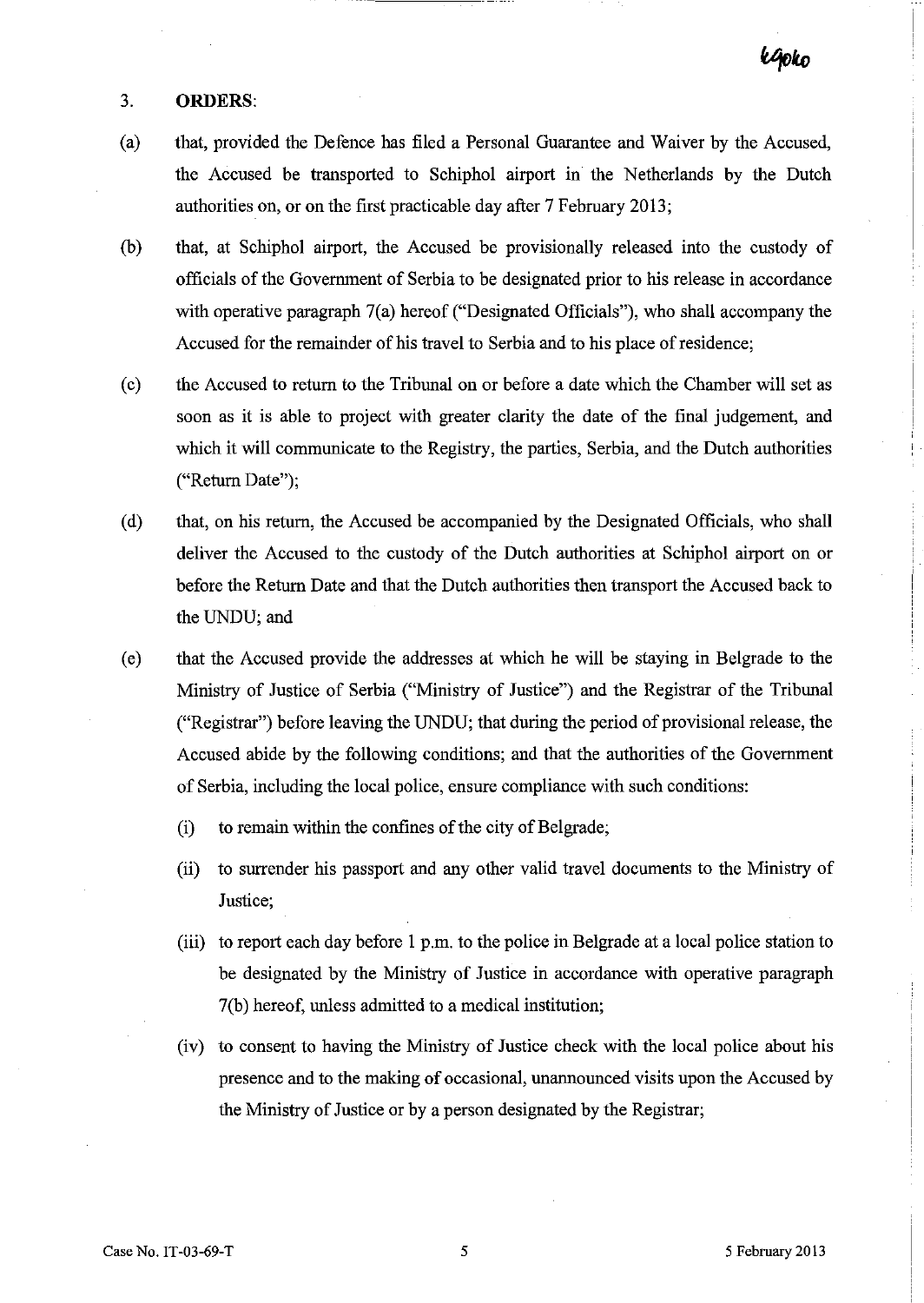#### 3. **ORDERS:**

- (a) that, provided the Defence has filed a Personal Guarantee and Waiver by the Accused, the Accused be transported to Schiphol airport in the Netherlands by the Dutch authorities on, or on the first practicable day after 7 February 2013;
- (b) that, at Schiphol airport, the Accused be provisionally released into the custody of officials of the Government of Serbia to be designated prior to his release in accordance with operative paragraph 7(a) hereof ("Designated Officials"), who shall accompany the Accused for the remainder of his travel to Serbia and to his place of residence;
- (c) the Accused to return to the Tribunal on or before a date which the Chamber will set as soon as it is able to project with greater clarity the date of the final judgement, and which it will communicate to the Registry, the parties, Serbia, and the Dutch authorities ("Return Date");
- (d) that, on his return, the Accused be accompanied by the Designated Officials, who shall deliver the Accused to the custody of the Dutch authorities at Schiphol airport on or before the Return Date and that the Dutch authorities then transport the Accused back to the UNDU; and
- ( e) that the Accused provide the addresses at which he will be staying in Belgrade to the Ministry of Justice of Serbia ("Ministry of Justice") and the Registrar of the Tribunal ("Registrar") before leaving the UNDU; that during the period of provisional release, the Accused abide by the following conditions; and that the authorities of the Government of Serbia, including the local police, ensure compliance with such conditions:
	- (i) to remain within the confines of the city of Belgrade;
	- (ii) to surrender his passport and any other valid travel documents to the Ministry of Justice;
	- (iii) to report each day before I p.m. to the police in Belgrade at a local police station to be designated by the Ministry of Justice in accordance with operative paragraph 7(b) hereof, unless admitted to a medical institution;
	- (iv) to consent to having the Ministry of Justice check with the local police about his presence and to the making of occasional, unannounced visits upon the Accused by the Ministry of Justice or by a person designated by the Registrar;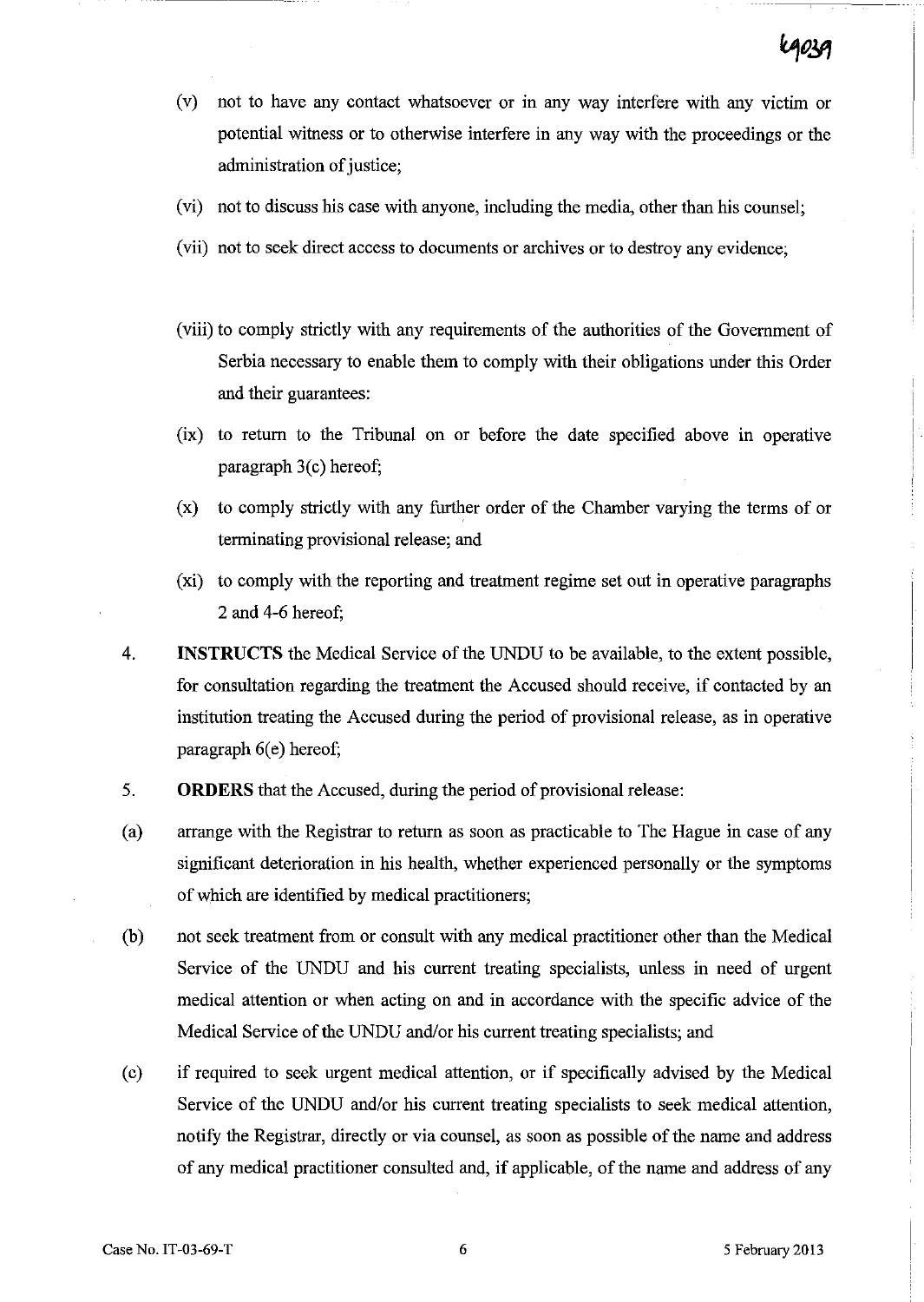- (v) not to have any contact whatsoever or in any way interfere with any victim or potential witness or to otherwise interfere in any way with the proceedings or the administration of justice;
- (vi) not to discuss his case with anyone, including the media, other than his counsel;
- (vii) not to seek direct access to documents or archives or to destroy any evidence;
- (viii) to comply strictly with any requirements of the authorities of the Government of Serbia necessary to enable them to comply with their obligations under this Order and their guarantees:
- $(ix)$  to return to the Tribunal on or before the date specified above in operative paragraph 3(c) hereof;
- (x) to comply strictly with any further order of the Chamber varying the terms of or terminating provisional release; and
- (xi) to comply with the reporting and treatment regime set out in operative paragraphs 2 and 4-6 hereof;
- 4. **INSTRUCTS** the Medical Service of the UNDU to be available, to the extent possible, for consultation regarding the treatment the Accused should receive, if contacted by an institution treating the Accused during the period of provisional release, as in operative paragraph  $6(e)$  hereof;
- 5. **ORDERS** that the Accused, during the period of provisional release:
- (a) arrange with the Registrar to return as soon as practicable to The Hague in case of any significant deterioration in his health, whether experienced personally or the symptoms of which are identified by medical practitioners;
- (b) not seek treatment from or consult with any medical practitioner other than the Medical Service of the UNDU and his current treating specialists, unless in need of urgent medical attention or when acting on and in accordance with the specific advice of the Medical Service of the UNDU and/or his current treating specialists; and
- (c) if required to seek urgent medical attention, or if specifically advised by the Medical Service of the UNDU and/or his current treating specialists to seek medical attention, notify the Registrar, directly or via counsel, as soon as possible of the name and address of any medical practitioner consulted and, if applicable, of the name and address of any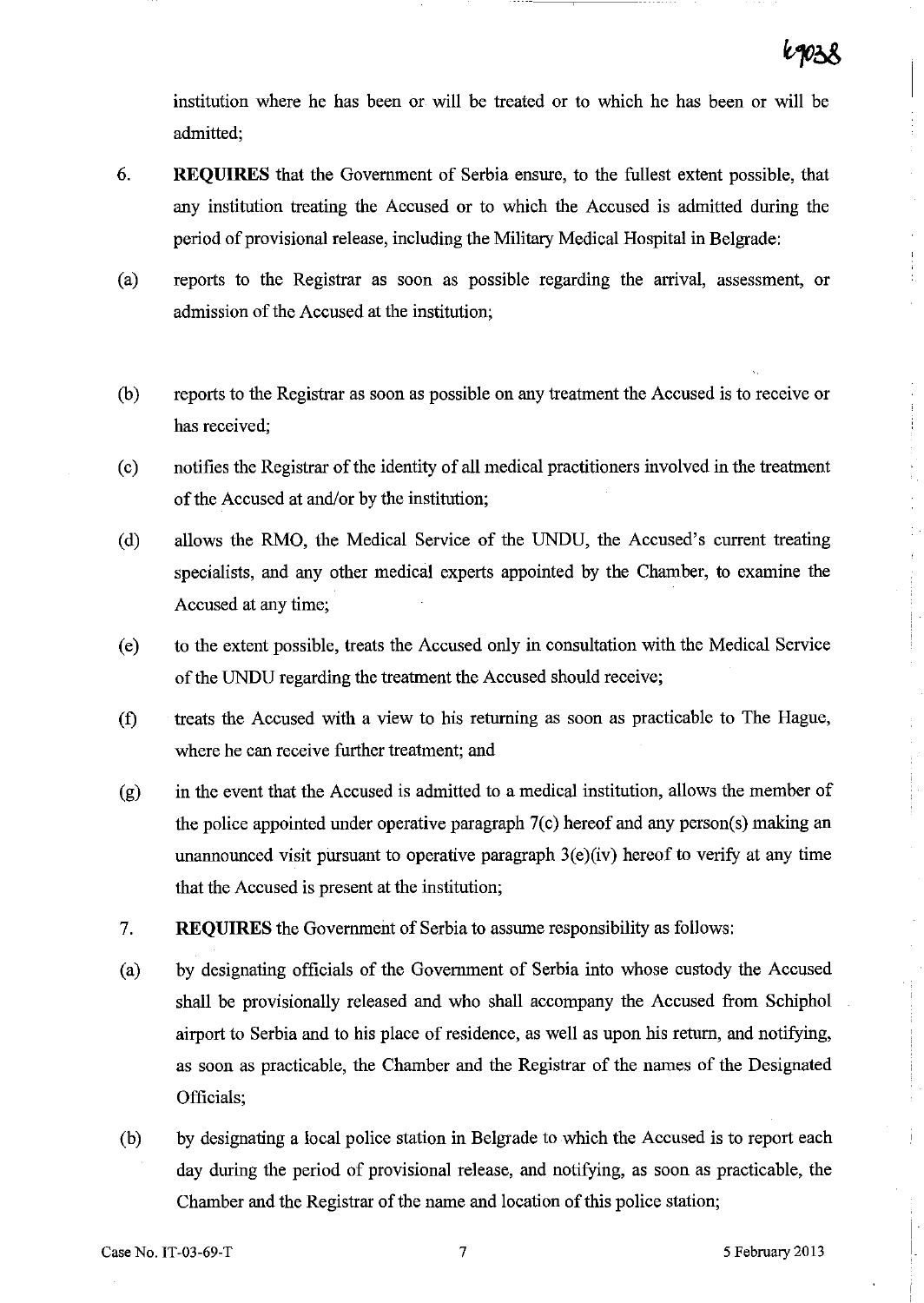institution where he has been or will be treated or to which he has been or will be admitted;

- 6. **REQUIRES** that the Government of Serbia ensure, to the fullest extent possible, that any institution treating the Accused or to which the Accused is admitted during the period of provisional release, including the Military Medical Hospital in Belgrade:
- (a) reports to the Registrar as soon as possible regarding the arrival, assessment, or admission of the Accused at the institution;
- (b) reports to the Registrar as soon as possible on any treatment the Accused is to receive or has received;
- (c) notifies the Registrar of the identity of **all** medical practitioners involved in the treatment of the Accused at and/or by the institution;
- (d) allows the RMO, the Medical Service of the UNDU, the Accused's current treating specialists, and any other medical experts appointed by the Chamber, to examine the Accused at any time;
- (e) to the extent possible, treats the Accused only in consultation with the Medical Service of the UNDU regarding the treatment the Accused should receive;
- (f) treats the Accused with a view to his returning as soon as practicable to The Hague, where he can receive further treatment; and
- (g) in the event that the Accused is admitted to a medical institution, allows the member of the police appointed under operative paragraph 7(c) hereof and any person(s) making an unannounced visit pursuant to operative paragraph  $3(e)(iv)$  hereof to verify at any time that the Accused is present at the institution;
- 7. **REQUIRES** the Government of Serbia to assume responsibility as follows:
- (a) by designating officials of the Government of Serbia into whose custody the Accused shall be provisionally released and who shall accompany the Accused from Schiphol airport to Serbia and to his place of residence, as well as upon his return, and notifying, as soon as practicable, the Chamber and the Registrar of the names of the Designated Officials;
- (b) by designating a local police station in Belgrade to which the Accused is to report each day during the period of provisional release, and notifying, as soon as practicable, the Chamber and the Registrar of the name and location of this police station;

I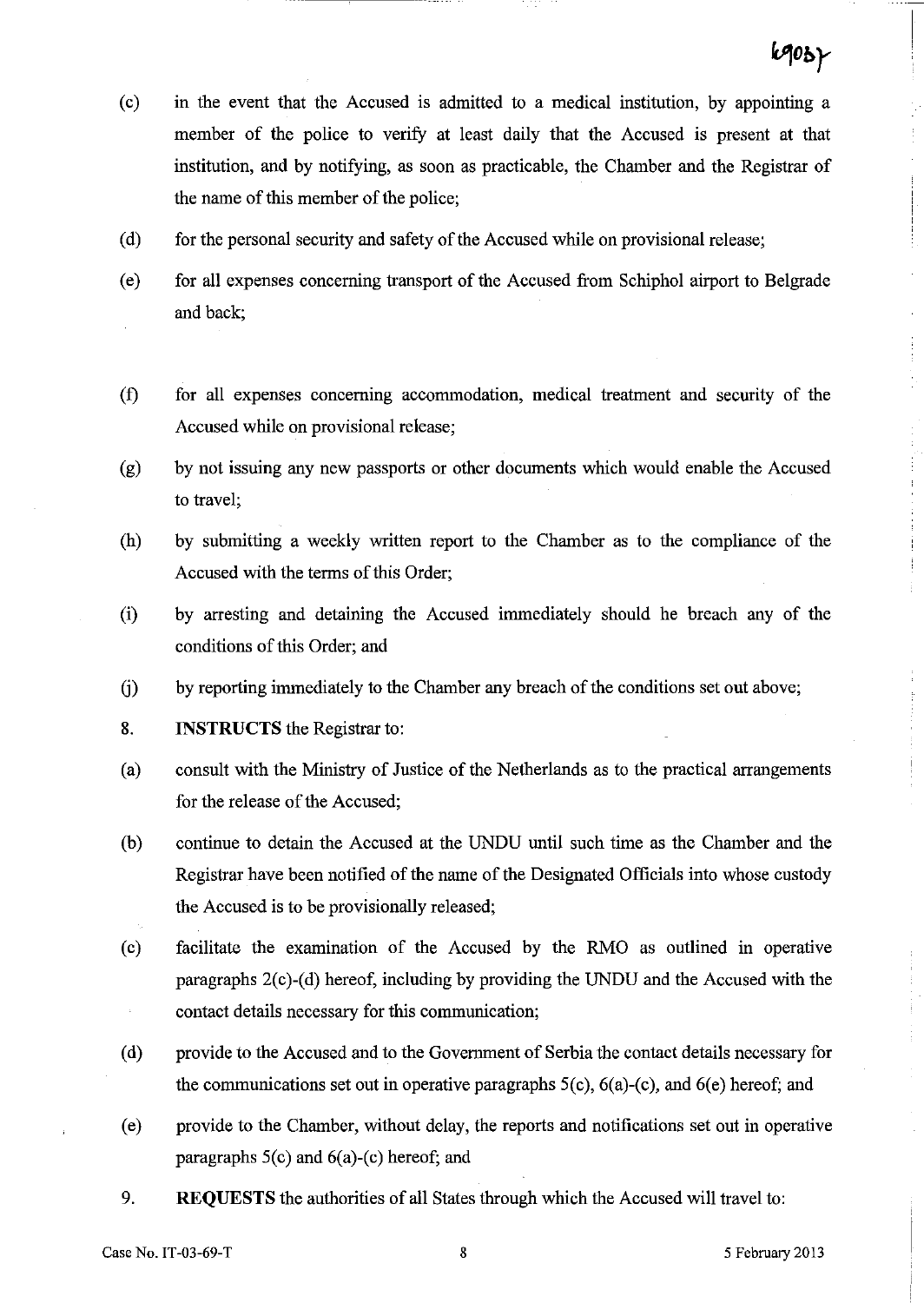- (c) in the event that the Accused is admitted to a medical institution, by appointing a member of the police to verify at least daily that the Accused is present at that institution, and by notifying, as soon as practicable, the Chamber and the Registrar of the name of this member of the police;
- (d) for the personal security and safety of the Accused while on provisional release;
- (e) for all expenses concerning transport of the Accused from Schiphol airport to Belgrade and back;
- (f) for all expenses concerning accommodation, medical treatment and security of the Accused while on provisional release;
- (g) by not issuing any new passports or other documents which would enable the Accused to travel;
- (h) by submitting a weekly written report to the Chamber as to the compliance of the Accused with the terms of this Order;
- (i) by arresting and detaining the Accused immediately should he breach any of the conditions of this Order; and
- G) by reporting immediately to the Chamber any breach of the conditions set out above;
- 8. **INSTRUCTS** the Registrar to:
- (a) consult with the Ministry of Justice of the Netherlands as to the practical arrangements for the release of the Accused;
- (b) continue to detain the Accused at the UNDU until such time as the Chamber and the Registrar have been notified of the name of the Designated Officials into whose custody the Accused is to be provisionally released;
- (c) facilitate the examination of the Accused by the RMO as outlined in operative paragraphs 2(c)-(d) hereof, including by providing the UNDU and the Accused with the contact details necessary for this communication;
- (d) provide to the Accused and to the Government of Serbia the contact details necessary for the communications set out in operative paragraphs  $5(c)$ ,  $6(a)-(c)$ , and  $6(e)$  hereof; and
- (e) provide to the Chamber, without delay, the reports and notifications set out in operative paragraphs S(c) and 6(a)-(c) hereof; and
- 9. **REQUESTS** the authorities of all States through which the Accused will travel to: